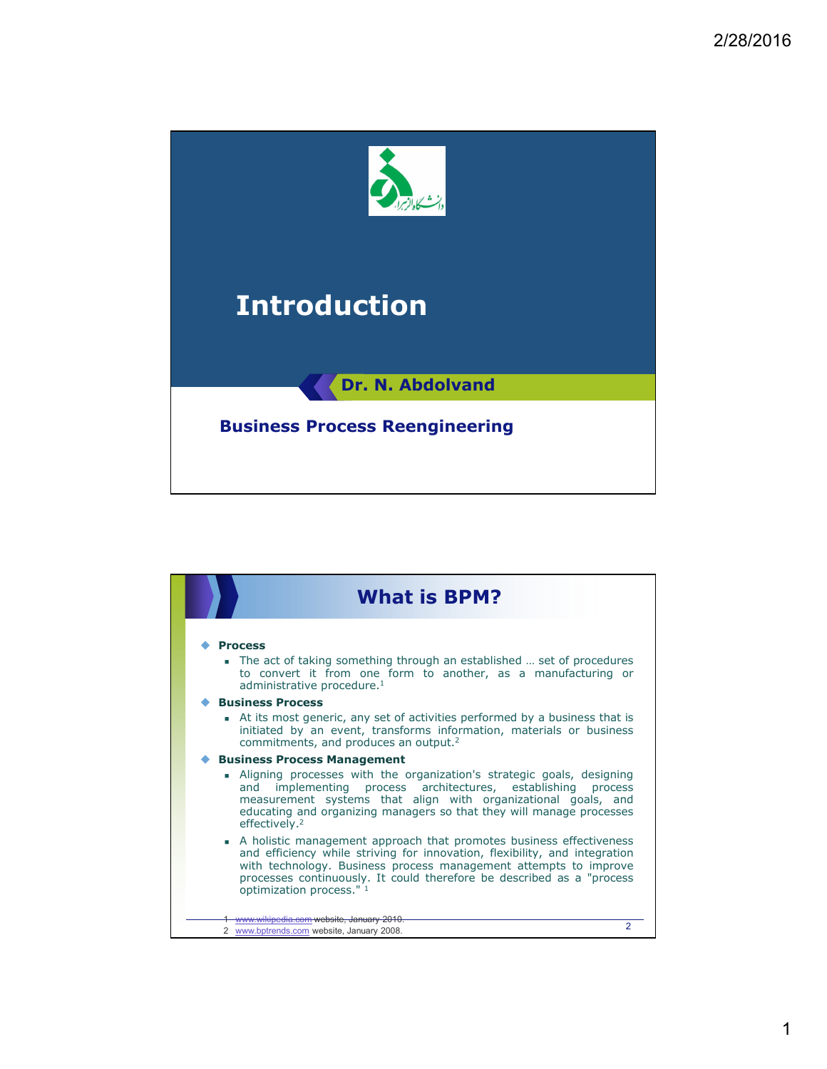

| <b>What is BPM?</b>                                                                                                                                                                                                                                                                                                                                                                                                                                                                                                                                                             |
|---------------------------------------------------------------------------------------------------------------------------------------------------------------------------------------------------------------------------------------------------------------------------------------------------------------------------------------------------------------------------------------------------------------------------------------------------------------------------------------------------------------------------------------------------------------------------------|
| <b>Process</b><br>The act of taking something through an established  set of procedures<br>to convert it from one form to another, as a manufacturing or<br>administrative procedure. <sup>1</sup><br><b>Business Process</b>                                                                                                                                                                                                                                                                                                                                                   |
| At its most generic, any set of activities performed by a business that is<br>initiated by an event, transforms information, materials or business<br>commitments, and produces an output. <sup>2</sup>                                                                                                                                                                                                                                                                                                                                                                         |
| <b>Business Process Management</b><br>Aligning processes with the organization's strategic goals, designing<br>implementing process architectures, establishing process<br>and<br>measurement systems that align with organizational goals, and<br>educating and organizing managers so that they will manage processes<br>effectively. <sup>2</sup><br>• A holistic management approach that promotes business effectiveness<br>and efficiency while striving for innovation, flexibility, and integration<br>with technology. Business process management attempts to improve |
| processes continuously. It could therefore be described as a "process<br>optimization process." 1<br>www.wikipedia.com website, January 2010.<br>$\mathfrak{p}$<br>2 www.bptrends.com website, January 2008.                                                                                                                                                                                                                                                                                                                                                                    |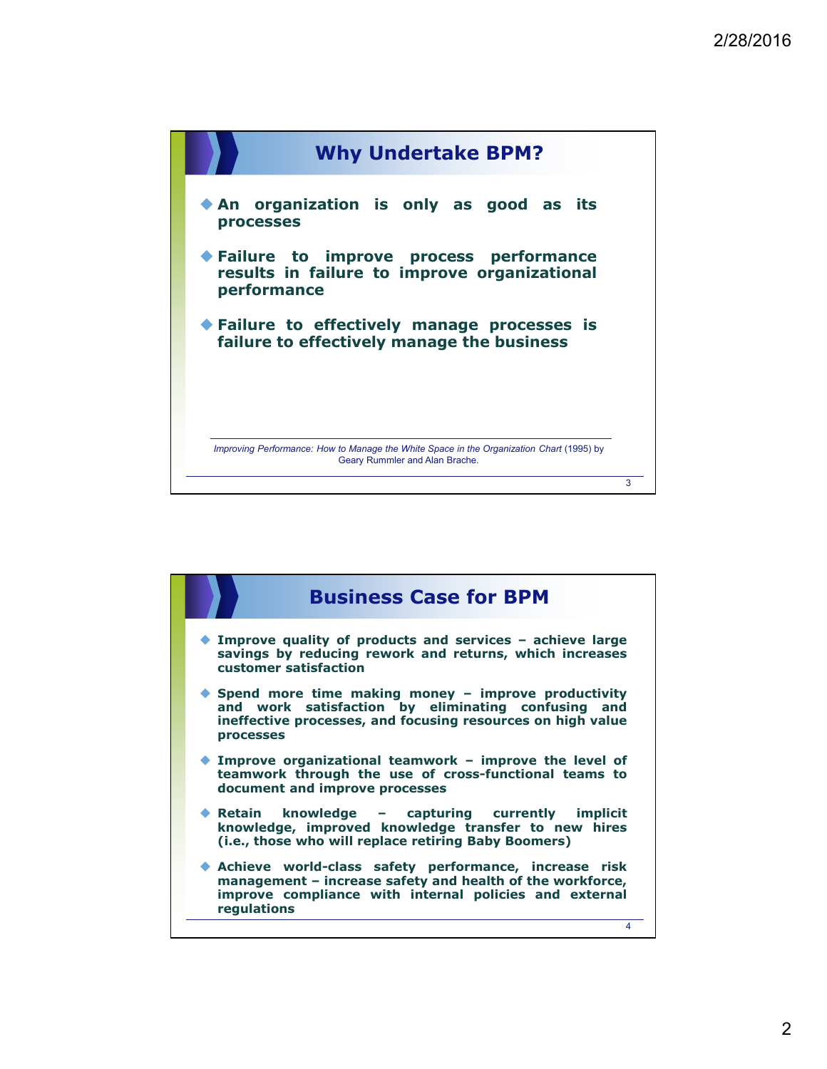

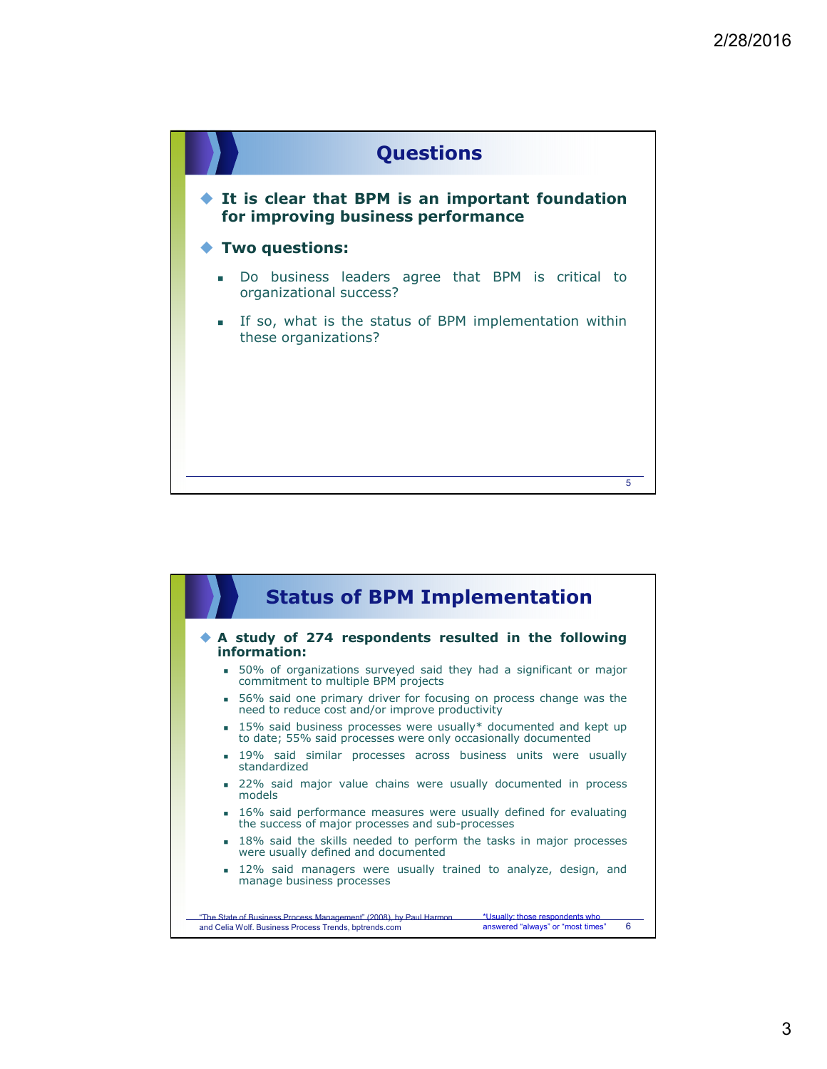

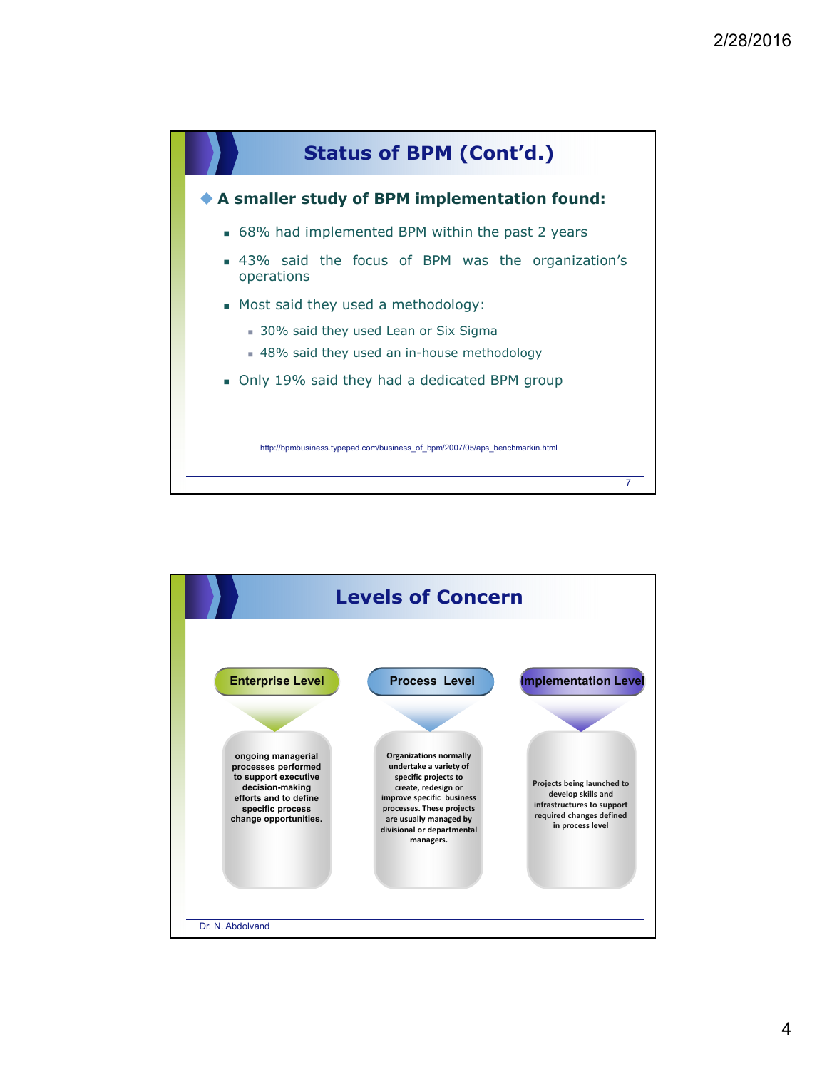

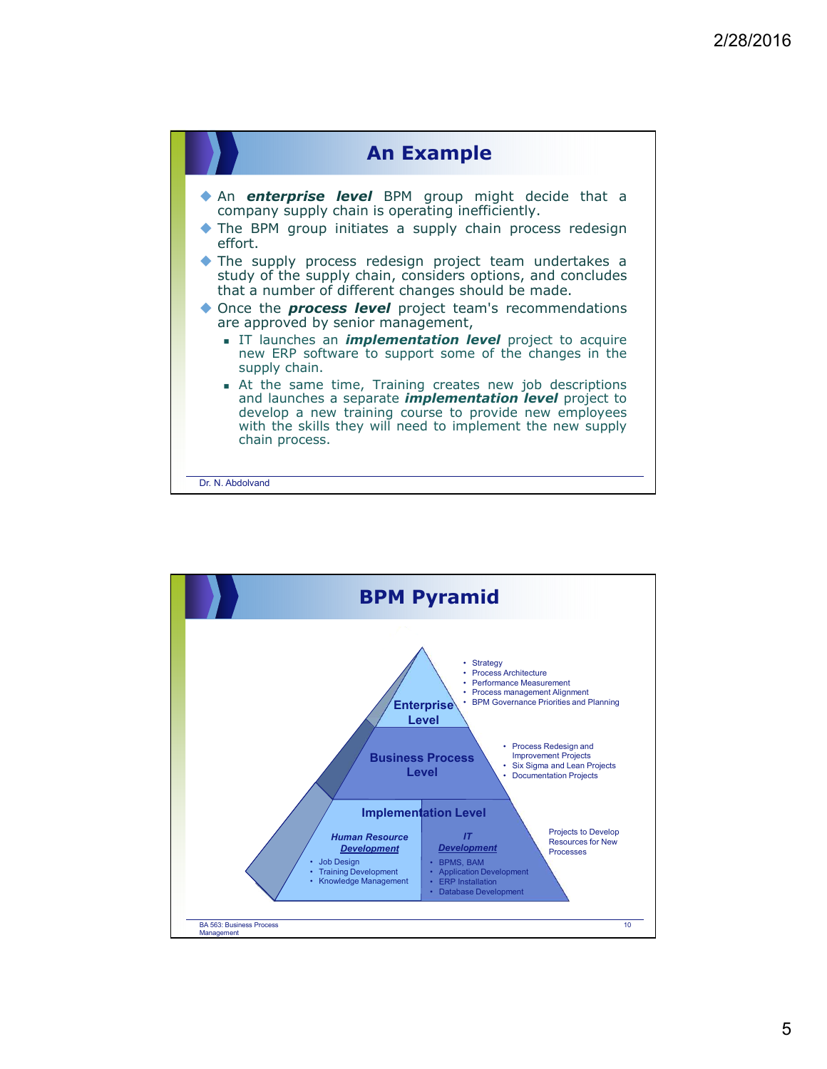

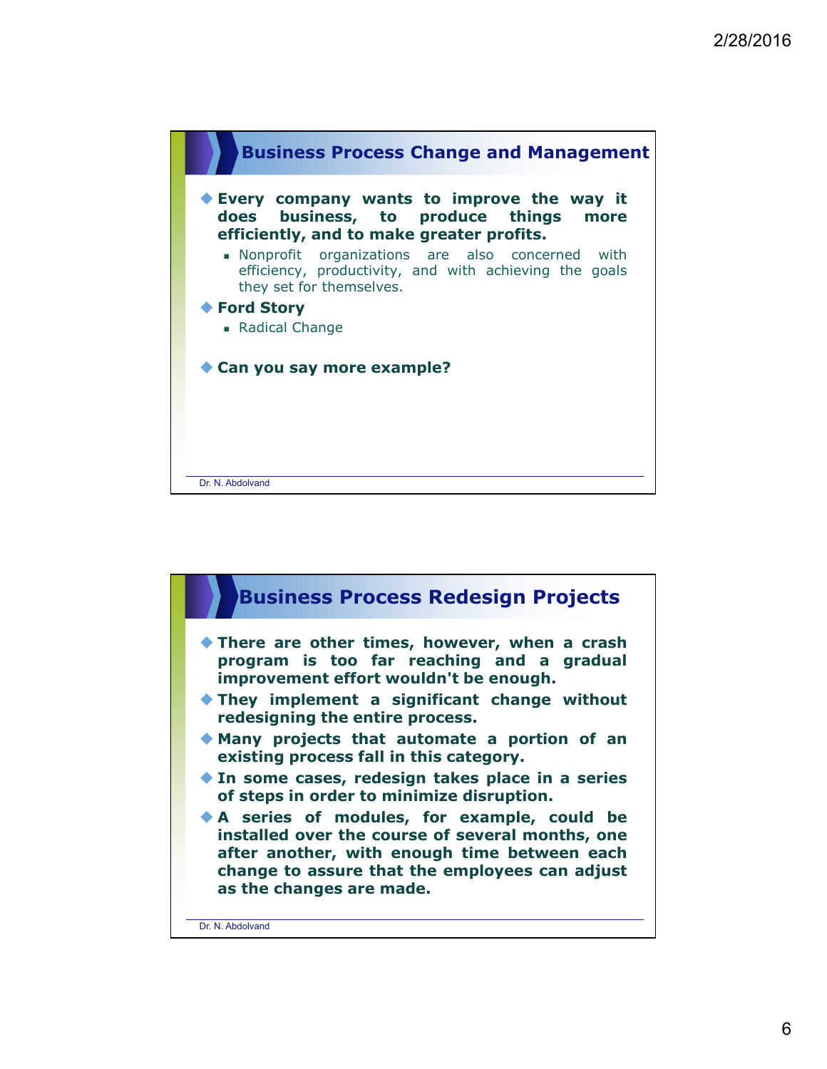

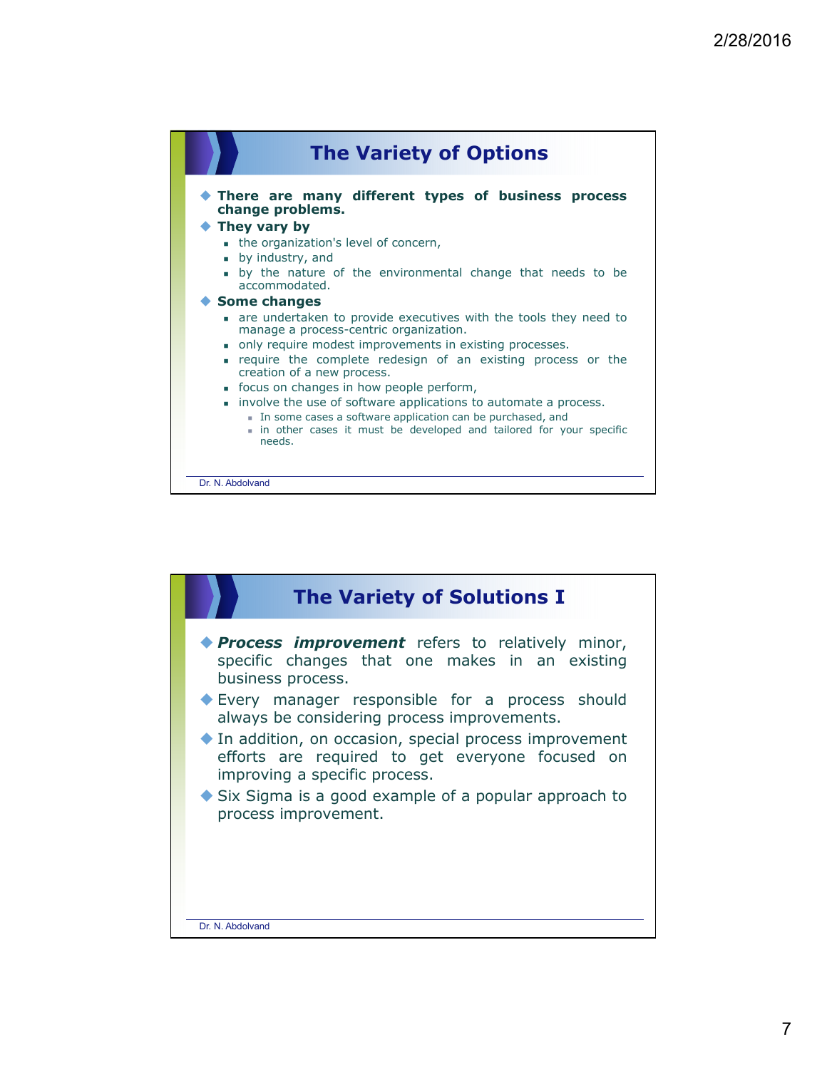

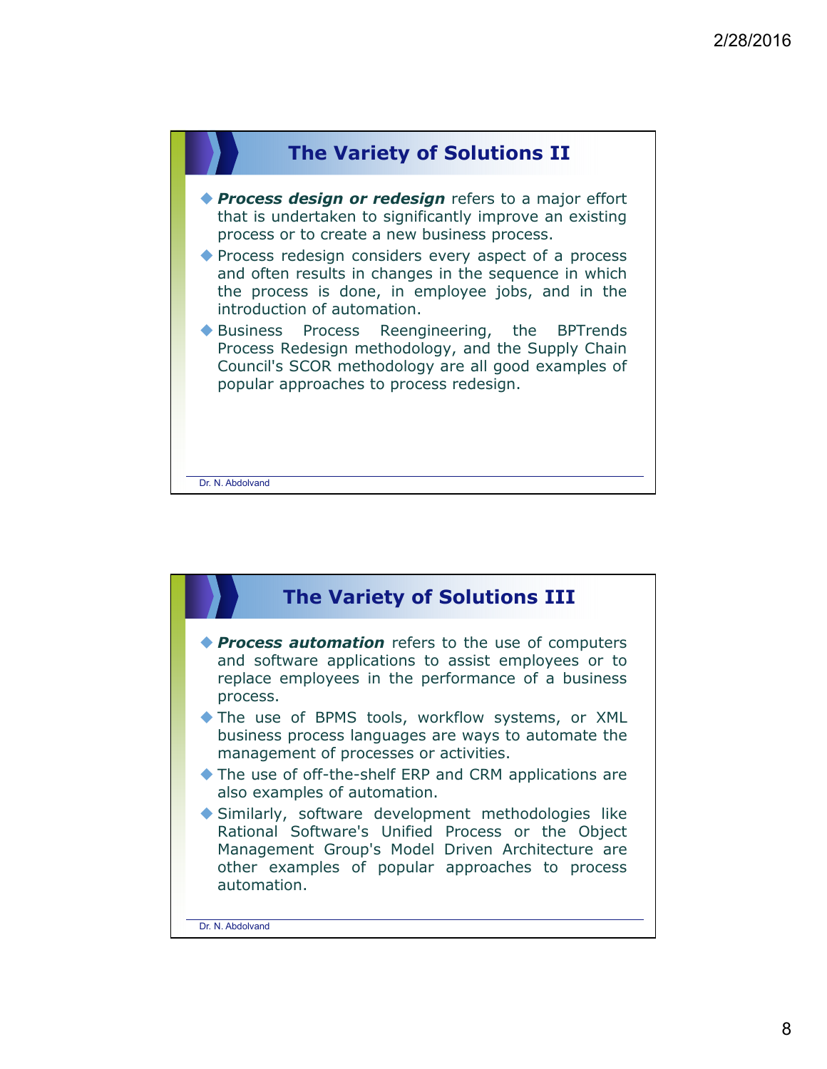

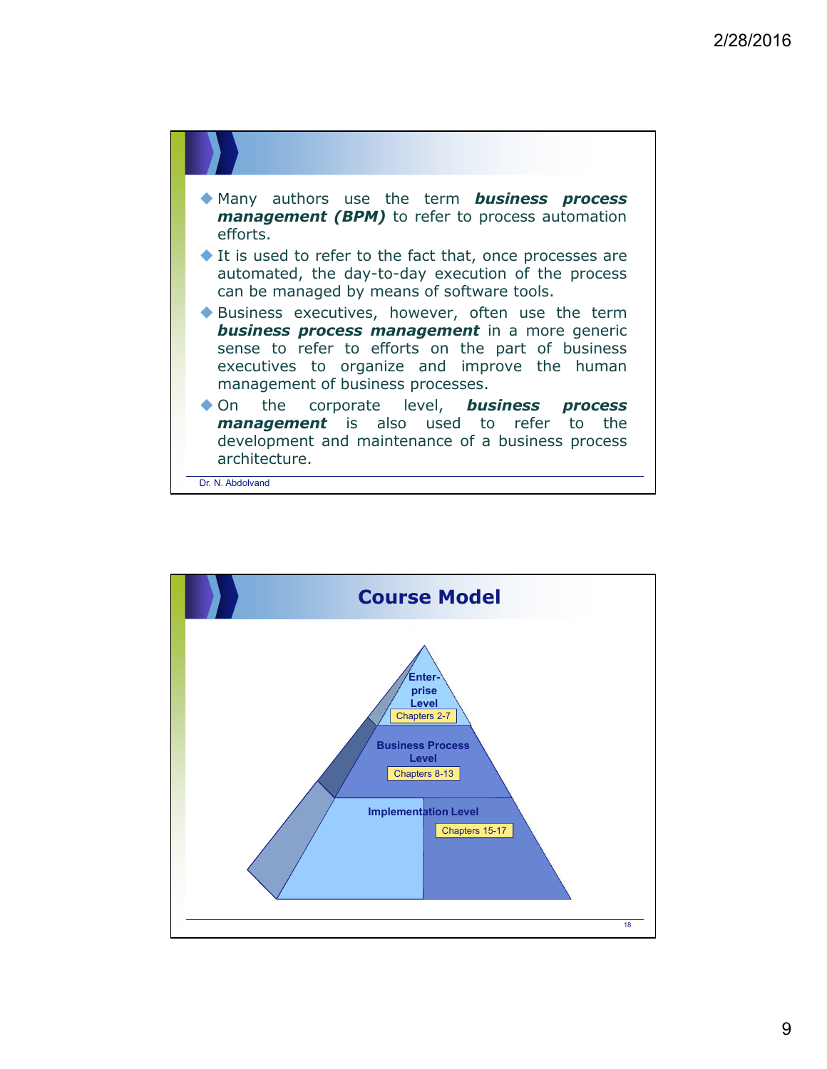

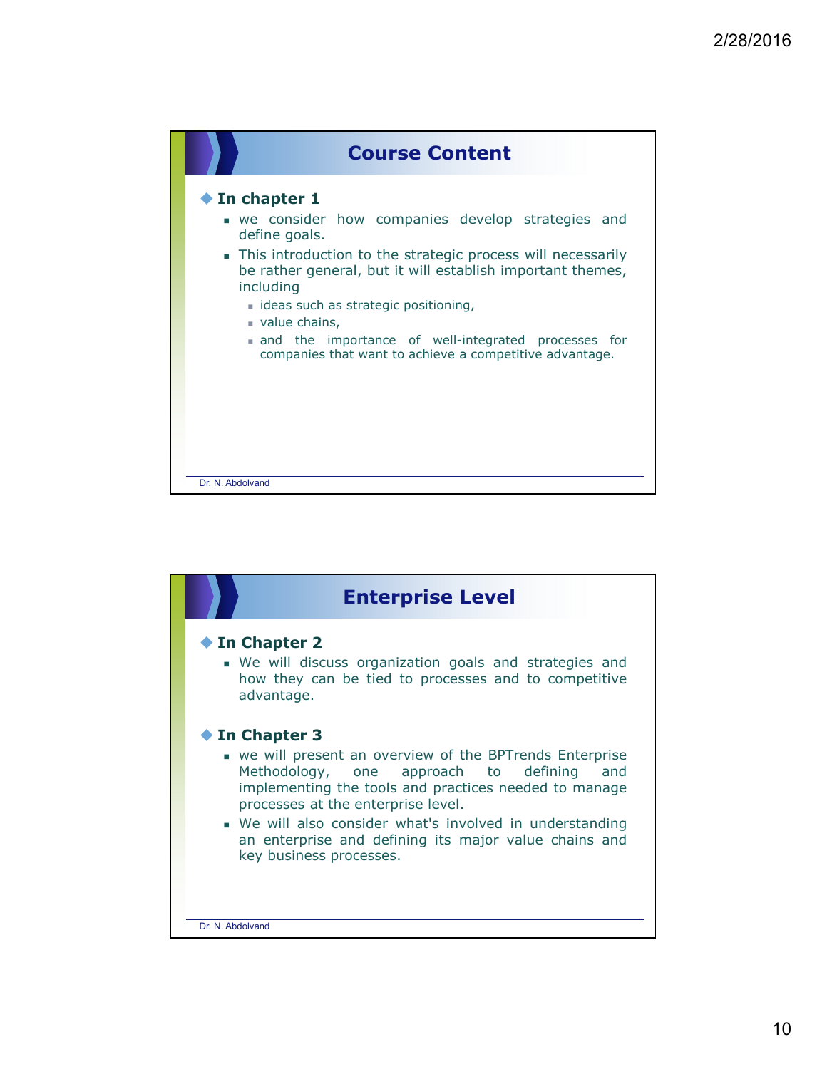

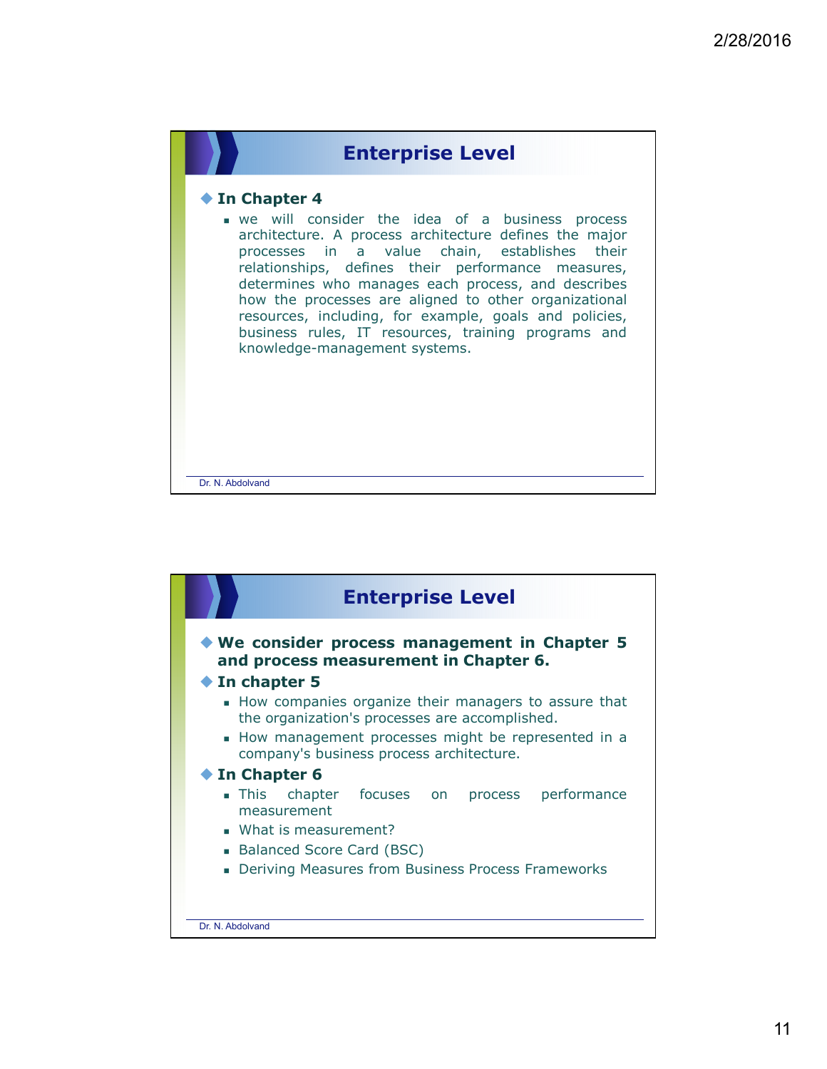

## **In Chapter 4**

- we will consider the idea of a business process architecture. A process architecture defines the major processes in a value chain, establishes their relationships, defines their performance measures, determines who manages each process, and describes how the processes are aligned to other organizational resources, including, for example, goals and policies, business rules, IT resources, training programs and knowledge-management systems.

Dr. N. Abdolvand

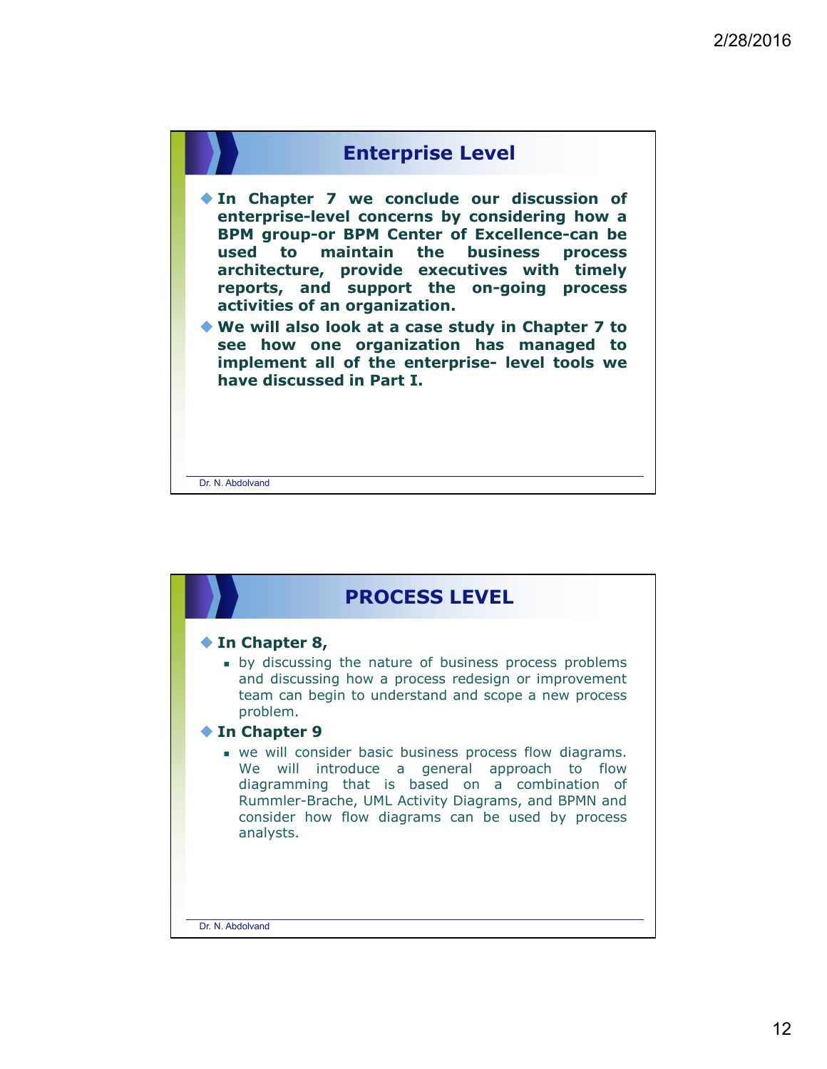

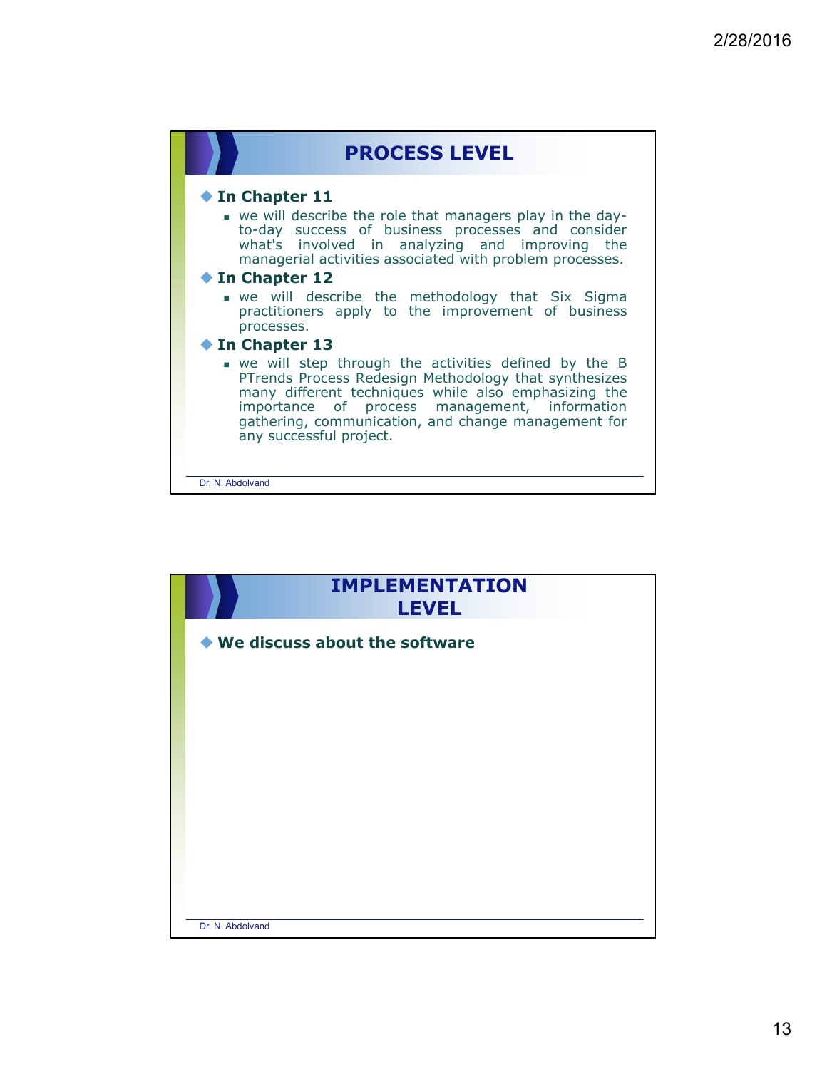